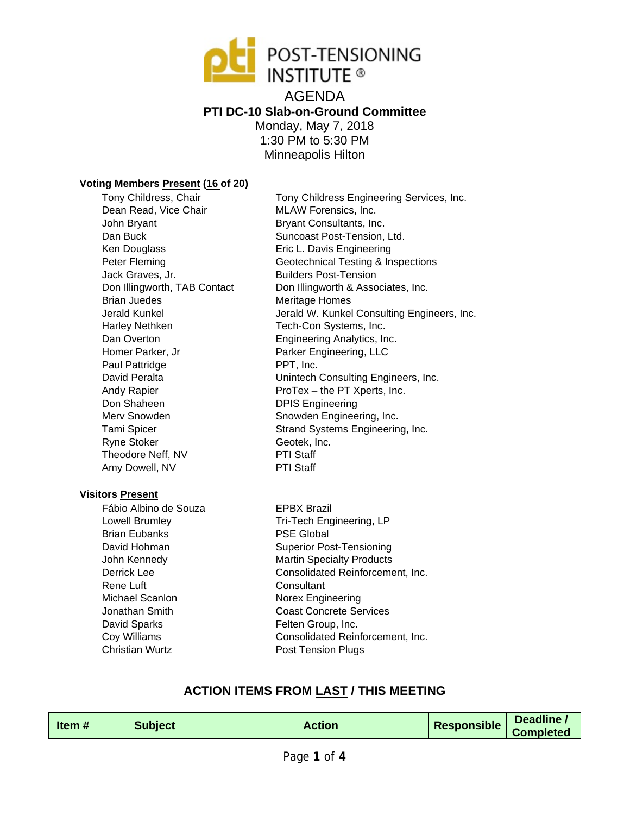

AGENDA **PTI DC-10 Slab-on-Ground Committee** Monday, May 7, 2018 1:30 PM to 5:30 PM Minneapolis Hilton

## **Voting Members Present (16 of 20)**

Tony Childress, Chair Dean Read, Vice Chair John Bryant Dan Buck Ken Douglass Peter Fleming Jack Graves, Jr. Don Illingworth, TAB Contact Brian Juedes Jerald Kunkel Harley Nethken Dan Overton Homer Parker, Jr Paul Pattridge David Peralta Andy Rapier Don Shaheen Merv Snowden Tami Spicer Ryne Stoker Theodore Neff, NV Amy Dowell, NV

## **Visitors Present**

Fábio Albino de Souza Lowell Brumley Brian Eubanks David Hohman John Kennedy Derrick Lee Rene Luft Michael Scanlon Jonathan Smith David Sparks Coy Williams Christian Wurtz

Tony Childress Engineering Services, Inc. MLAW Forensics, Inc. Bryant Consultants, Inc. Suncoast Post-Tension, Ltd. Eric L. Davis Engineering Geotechnical Testing & Inspections Builders Post-Tension Don Illingworth & Associates, Inc. Meritage Homes Jerald W. Kunkel Consulting Engineers, Inc. Tech-Con Systems, Inc. Engineering Analytics, Inc. Parker Engineering, LLC PPT, Inc. Unintech Consulting Engineers, Inc. ProTex – the PT Xperts, Inc. DPIS Engineering Snowden Engineering, Inc. Strand Systems Engineering, Inc. Geotek, Inc. PTI Staff PTI Staff

EPBX Brazil Tri-Tech Engineering, LP PSE Global Superior Post-Tensioning Martin Specialty Products Consolidated Reinforcement, Inc. **Consultant** Norex Engineering Coast Concrete Services Felten Group, Inc. Consolidated Reinforcement, Inc. Post Tension Plugs

## **ACTION ITEMS FROM LAST / THIS MEETING**

|  | Item# | <b>Subject</b> | Action | Responsible   Deadline / | Deadline / |
|--|-------|----------------|--------|--------------------------|------------|
|--|-------|----------------|--------|--------------------------|------------|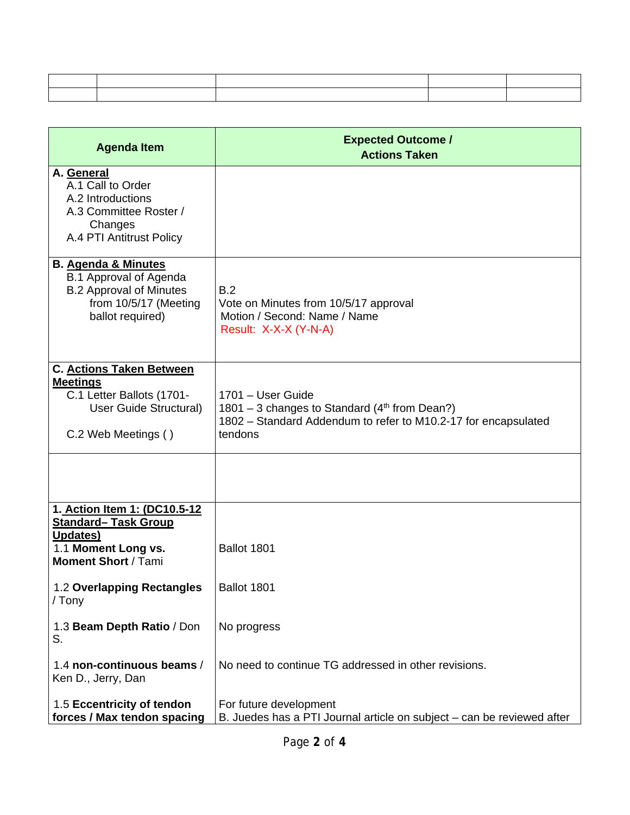| <b>Agenda Item</b>                                                                                                                             | <b>Expected Outcome /</b><br><b>Actions Taken</b>                                                                                                 |
|------------------------------------------------------------------------------------------------------------------------------------------------|---------------------------------------------------------------------------------------------------------------------------------------------------|
| A. General<br>A.1 Call to Order<br>A.2 Introductions<br>A.3 Committee Roster /<br>Changes<br>A.4 PTI Antitrust Policy                          |                                                                                                                                                   |
| <b>B. Agenda &amp; Minutes</b><br><b>B.1 Approval of Agenda</b><br><b>B.2 Approval of Minutes</b><br>from 10/5/17 (Meeting<br>ballot required) | B.2<br>Vote on Minutes from 10/5/17 approval<br>Motion / Second: Name / Name<br>Result: X-X-X (Y-N-A)                                             |
| <b>C. Actions Taken Between</b><br><b>Meetings</b><br>C.1 Letter Ballots (1701-<br>User Guide Structural)<br>C.2 Web Meetings ()               | 1701 - User Guide<br>1801 – 3 changes to Standard $(4th$ from Dean?)<br>1802 – Standard Addendum to refer to M10.2-17 for encapsulated<br>tendons |
|                                                                                                                                                |                                                                                                                                                   |
| 1. Action Item 1: (DC10.5-12<br><b>Standard-Task Group</b><br><b>Updates)</b><br>1.1 Moment Long vs.<br><b>Moment Short / Tami</b>             | Ballot 1801                                                                                                                                       |
| 1.2 Overlapping Rectangles<br>/ Tony                                                                                                           | Ballot 1801                                                                                                                                       |
| 1.3 Beam Depth Ratio / Don<br>S.                                                                                                               | No progress                                                                                                                                       |
| 1.4 non-continuous beams /<br>Ken D., Jerry, Dan                                                                                               | No need to continue TG addressed in other revisions.                                                                                              |
| 1.5 Eccentricity of tendon<br>forces / Max tendon spacing                                                                                      | For future development<br>B. Juedes has a PTI Journal article on subject – can be reviewed after                                                  |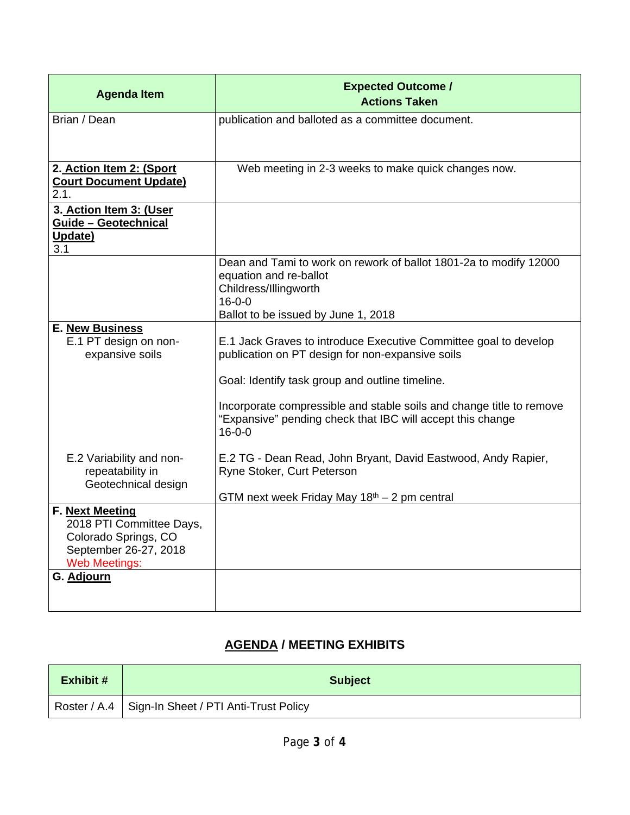| <b>Agenda Item</b>                                                                                                   | <b>Expected Outcome /</b><br><b>Actions Taken</b>                                                                                                                                                                                               |
|----------------------------------------------------------------------------------------------------------------------|-------------------------------------------------------------------------------------------------------------------------------------------------------------------------------------------------------------------------------------------------|
| Brian / Dean                                                                                                         | publication and balloted as a committee document.                                                                                                                                                                                               |
| 2. Action Item 2: (Sport<br><b>Court Document Update)</b><br>2.1.                                                    | Web meeting in 2-3 weeks to make quick changes now.                                                                                                                                                                                             |
| 3. Action Item 3: (User<br>Guide - Geotechnical<br>Update)<br>3.1                                                    |                                                                                                                                                                                                                                                 |
|                                                                                                                      | Dean and Tami to work on rework of ballot 1801-2a to modify 12000<br>equation and re-ballot<br>Childress/Illingworth<br>$16 - 0 - 0$<br>Ballot to be issued by June 1, 2018                                                                     |
| <b>E. New Business</b><br>E.1 PT design on non-<br>expansive soils                                                   | E.1 Jack Graves to introduce Executive Committee goal to develop<br>publication on PT design for non-expansive soils<br>Goal: Identify task group and outline timeline.<br>Incorporate compressible and stable soils and change title to remove |
|                                                                                                                      | "Expansive" pending check that IBC will accept this change<br>$16 - 0 - 0$                                                                                                                                                                      |
| E.2 Variability and non-<br>repeatability in<br>Geotechnical design                                                  | E.2 TG - Dean Read, John Bryant, David Eastwood, Andy Rapier,<br>Ryne Stoker, Curt Peterson<br>GTM next week Friday May $18th - 2$ pm central                                                                                                   |
| F. Next Meeting<br>2018 PTI Committee Days,<br>Colorado Springs, CO<br>September 26-27, 2018<br><b>Web Meetings:</b> |                                                                                                                                                                                                                                                 |
| G. Adjourn                                                                                                           |                                                                                                                                                                                                                                                 |

## **AGENDA / MEETING EXHIBITS**

| Exhibit # | <b>Subject</b>                                       |  |
|-----------|------------------------------------------------------|--|
|           | Roster / A.4   Sign-In Sheet / PTI Anti-Trust Policy |  |